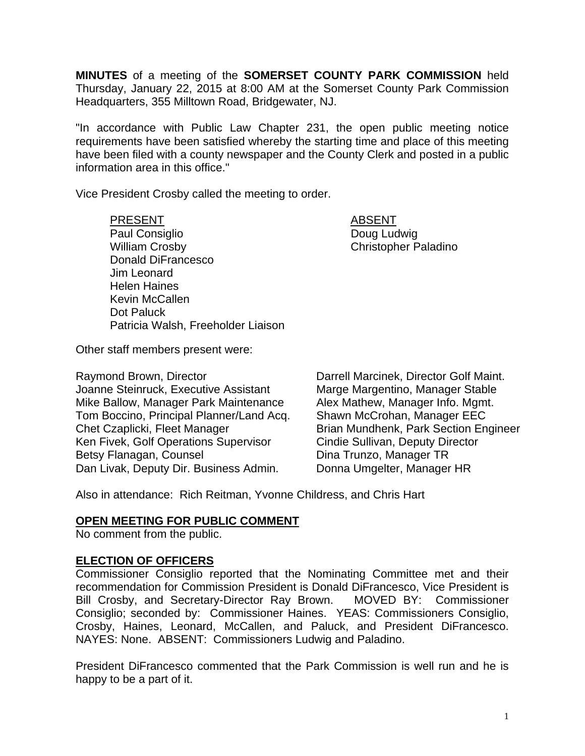**MINUTES** of a meeting of the **SOMERSET COUNTY PARK COMMISSION** held Thursday, January 22, 2015 at 8:00 AM at the Somerset County Park Commission Headquarters, 355 Milltown Road, Bridgewater, NJ.

"In accordance with Public Law Chapter 231, the open public meeting notice requirements have been satisfied whereby the starting time and place of this meeting have been filed with a county newspaper and the County Clerk and posted in a public information area in this office."

Vice President Crosby called the meeting to order.

PRESENT ABSENT Paul Consiglio **Doug Ludwig** William Crosby **Christopher Paladino** Donald DiFrancesco Jim Leonard Helen Haines Kevin McCallen Dot Paluck Patricia Walsh, Freeholder Liaison

Other staff members present were:

Raymond Brown, Director **Darrell Marcinek, Director Golf Maint.** Joanne Steinruck, Executive Assistant Marge Margentino, Manager Stable Mike Ballow, Manager Park Maintenance Alex Mathew, Manager Info. Mgmt. Tom Boccino, Principal Planner/Land Acq. Shawn McCrohan, Manager EEC Chet Czaplicki, Fleet Manager Brian Mundhenk, Park Section Engineer Ken Fivek, Golf Operations Supervisor Cindie Sullivan, Deputy Director Betsy Flanagan, Counsel **Dina Trunzo**, Manager TR Dan Livak, Deputy Dir. Business Admin. Donna Umgelter, Manager HR

Also in attendance: Rich Reitman, Yvonne Childress, and Chris Hart

## **OPEN MEETING FOR PUBLIC COMMENT**

No comment from the public.

## **ELECTION OF OFFICERS**

Commissioner Consiglio reported that the Nominating Committee met and their recommendation for Commission President is Donald DiFrancesco, Vice President is Bill Crosby, and Secretary-Director Ray Brown. MOVED BY: Commissioner Consiglio; seconded by: Commissioner Haines. YEAS: Commissioners Consiglio, Crosby, Haines, Leonard, McCallen, and Paluck, and President DiFrancesco. NAYES: None. ABSENT: Commissioners Ludwig and Paladino.

President DiFrancesco commented that the Park Commission is well run and he is happy to be a part of it.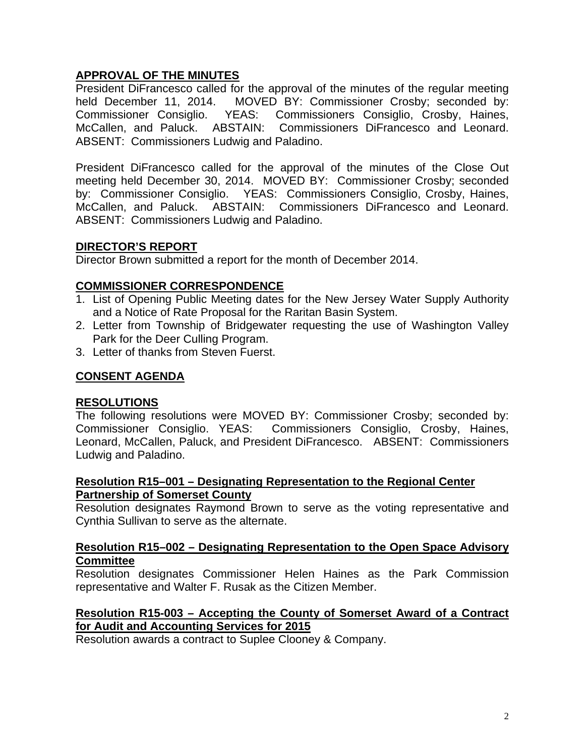# **APPROVAL OF THE MINUTES**

President DiFrancesco called for the approval of the minutes of the regular meeting held December 11, 2014. MOVED BY: Commissioner Crosby; seconded by: Commissioner Consiglio. YEAS: Commissioners Consiglio, Crosby, Haines, McCallen, and Paluck. ABSTAIN: Commissioners DiFrancesco and Leonard. ABSENT: Commissioners Ludwig and Paladino.

President DiFrancesco called for the approval of the minutes of the Close Out meeting held December 30, 2014. MOVED BY: Commissioner Crosby; seconded by: Commissioner Consiglio. YEAS: Commissioners Consiglio, Crosby, Haines, McCallen, and Paluck. ABSTAIN: Commissioners DiFrancesco and Leonard. ABSENT: Commissioners Ludwig and Paladino.

# **DIRECTOR'S REPORT**

Director Brown submitted a report for the month of December 2014.

# **COMMISSIONER CORRESPONDENCE**

- 1. List of Opening Public Meeting dates for the New Jersey Water Supply Authority and a Notice of Rate Proposal for the Raritan Basin System.
- 2. Letter from Township of Bridgewater requesting the use of Washington Valley Park for the Deer Culling Program.
- 3. Letter of thanks from Steven Fuerst.

## **CONSENT AGENDA**

## **RESOLUTIONS**

The following resolutions were MOVED BY: Commissioner Crosby; seconded by: Commissioner Consiglio. YEAS: Commissioners Consiglio, Crosby, Haines, Leonard, McCallen, Paluck, and President DiFrancesco. ABSENT: Commissioners Ludwig and Paladino.

#### **Resolution R15–001 – Designating Representation to the Regional Center Partnership of Somerset County**

Resolution designates Raymond Brown to serve as the voting representative and Cynthia Sullivan to serve as the alternate.

## **Resolution R15–002 – Designating Representation to the Open Space Advisory Committee**

Resolution designates Commissioner Helen Haines as the Park Commission representative and Walter F. Rusak as the Citizen Member.

# **Resolution R15-003 – Accepting the County of Somerset Award of a Contract for Audit and Accounting Services for 2015**

Resolution awards a contract to Suplee Clooney & Company.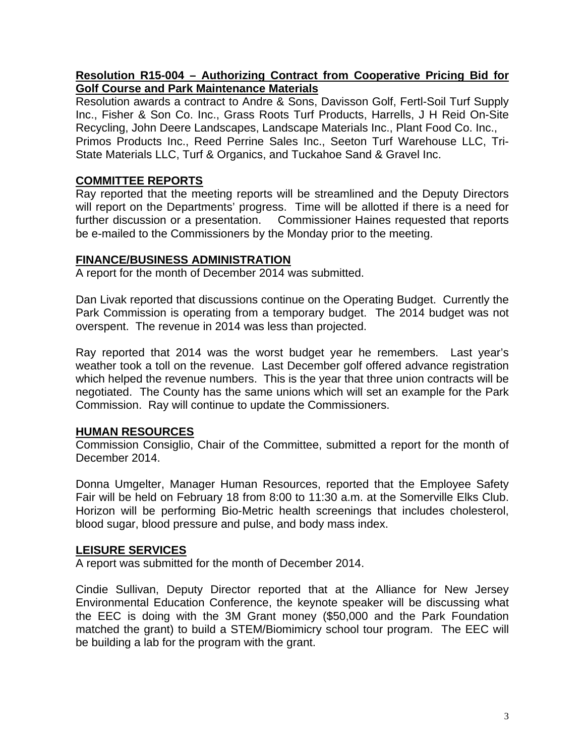# **Resolution R15-004 – Authorizing Contract from Cooperative Pricing Bid for Golf Course and Park Maintenance Materials**

Resolution awards a contract to Andre & Sons, Davisson Golf, Fertl-Soil Turf Supply Inc., Fisher & Son Co. Inc., Grass Roots Turf Products, Harrells, J H Reid On-Site Recycling, John Deere Landscapes, Landscape Materials Inc., Plant Food Co. Inc., Primos Products Inc., Reed Perrine Sales Inc., Seeton Turf Warehouse LLC, Tri-State Materials LLC, Turf & Organics, and Tuckahoe Sand & Gravel Inc.

# **COMMITTEE REPORTS**

Ray reported that the meeting reports will be streamlined and the Deputy Directors will report on the Departments' progress. Time will be allotted if there is a need for further discussion or a presentation. Commissioner Haines requested that reports be e-mailed to the Commissioners by the Monday prior to the meeting.

## **FINANCE/BUSINESS ADMINISTRATION**

A report for the month of December 2014 was submitted.

Dan Livak reported that discussions continue on the Operating Budget. Currently the Park Commission is operating from a temporary budget. The 2014 budget was not overspent. The revenue in 2014 was less than projected.

Ray reported that 2014 was the worst budget year he remembers. Last year's weather took a toll on the revenue. Last December golf offered advance registration which helped the revenue numbers. This is the year that three union contracts will be negotiated. The County has the same unions which will set an example for the Park Commission. Ray will continue to update the Commissioners.

## **HUMAN RESOURCES**

Commission Consiglio, Chair of the Committee, submitted a report for the month of December 2014.

Donna Umgelter, Manager Human Resources, reported that the Employee Safety Fair will be held on February 18 from 8:00 to 11:30 a.m. at the Somerville Elks Club. Horizon will be performing Bio-Metric health screenings that includes cholesterol, blood sugar, blood pressure and pulse, and body mass index.

## **LEISURE SERVICES**

A report was submitted for the month of December 2014.

Cindie Sullivan, Deputy Director reported that at the Alliance for New Jersey Environmental Education Conference, the keynote speaker will be discussing what the EEC is doing with the 3M Grant money (\$50,000 and the Park Foundation matched the grant) to build a STEM/Biomimicry school tour program. The EEC will be building a lab for the program with the grant.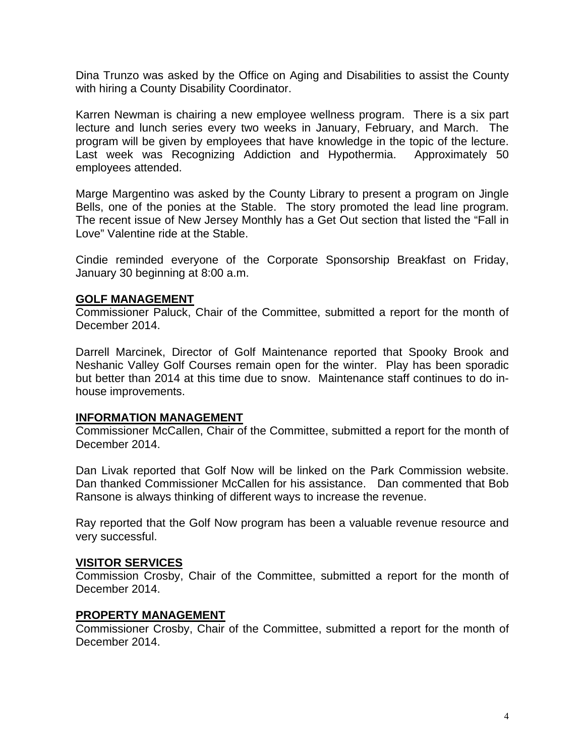Dina Trunzo was asked by the Office on Aging and Disabilities to assist the County with hiring a County Disability Coordinator.

Karren Newman is chairing a new employee wellness program. There is a six part lecture and lunch series every two weeks in January, February, and March. The program will be given by employees that have knowledge in the topic of the lecture. Last week was Recognizing Addiction and Hypothermia. Approximately 50 employees attended.

Marge Margentino was asked by the County Library to present a program on Jingle Bells, one of the ponies at the Stable. The story promoted the lead line program. The recent issue of New Jersey Monthly has a Get Out section that listed the "Fall in Love" Valentine ride at the Stable.

Cindie reminded everyone of the Corporate Sponsorship Breakfast on Friday, January 30 beginning at 8:00 a.m.

#### **GOLF MANAGEMENT**

Commissioner Paluck, Chair of the Committee, submitted a report for the month of December 2014.

Darrell Marcinek, Director of Golf Maintenance reported that Spooky Brook and Neshanic Valley Golf Courses remain open for the winter. Play has been sporadic but better than 2014 at this time due to snow. Maintenance staff continues to do inhouse improvements.

#### **INFORMATION MANAGEMENT**

Commissioner McCallen, Chair of the Committee, submitted a report for the month of December 2014.

Dan Livak reported that Golf Now will be linked on the Park Commission website. Dan thanked Commissioner McCallen for his assistance. Dan commented that Bob Ransone is always thinking of different ways to increase the revenue.

Ray reported that the Golf Now program has been a valuable revenue resource and very successful.

#### **VISITOR SERVICES**

Commission Crosby, Chair of the Committee, submitted a report for the month of December 2014.

#### **PROPERTY MANAGEMENT**

Commissioner Crosby, Chair of the Committee, submitted a report for the month of December 2014.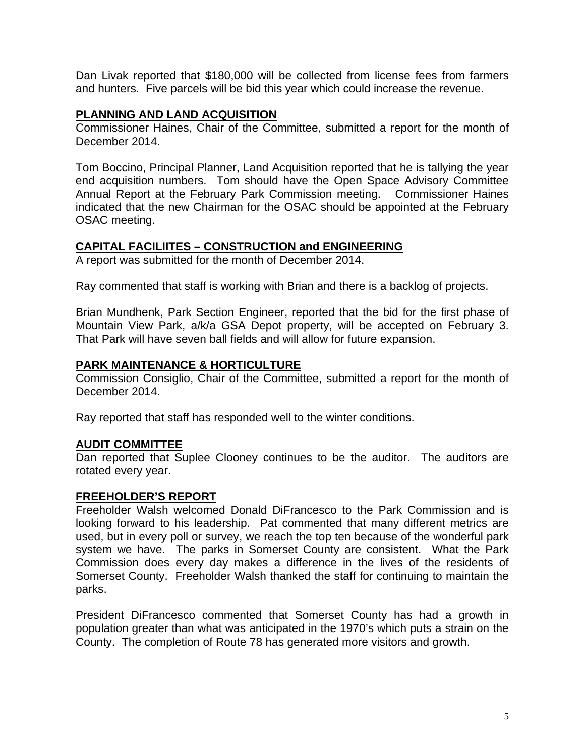Dan Livak reported that \$180,000 will be collected from license fees from farmers and hunters. Five parcels will be bid this year which could increase the revenue.

#### **PLANNING AND LAND ACQUISITION**

Commissioner Haines, Chair of the Committee, submitted a report for the month of December 2014.

Tom Boccino, Principal Planner, Land Acquisition reported that he is tallying the year end acquisition numbers. Tom should have the Open Space Advisory Committee Annual Report at the February Park Commission meeting. Commissioner Haines indicated that the new Chairman for the OSAC should be appointed at the February OSAC meeting.

## **CAPITAL FACILIITES – CONSTRUCTION and ENGINEERING**

A report was submitted for the month of December 2014.

Ray commented that staff is working with Brian and there is a backlog of projects.

Brian Mundhenk, Park Section Engineer, reported that the bid for the first phase of Mountain View Park, a/k/a GSA Depot property, will be accepted on February 3. That Park will have seven ball fields and will allow for future expansion.

## **PARK MAINTENANCE & HORTICULTURE**

Commission Consiglio, Chair of the Committee, submitted a report for the month of December 2014.

Ray reported that staff has responded well to the winter conditions.

## **AUDIT COMMITTEE**

Dan reported that Suplee Clooney continues to be the auditor. The auditors are rotated every year.

## **FREEHOLDER'S REPORT**

Freeholder Walsh welcomed Donald DiFrancesco to the Park Commission and is looking forward to his leadership. Pat commented that many different metrics are used, but in every poll or survey, we reach the top ten because of the wonderful park system we have. The parks in Somerset County are consistent. What the Park Commission does every day makes a difference in the lives of the residents of Somerset County. Freeholder Walsh thanked the staff for continuing to maintain the parks.

President DiFrancesco commented that Somerset County has had a growth in population greater than what was anticipated in the 1970's which puts a strain on the County. The completion of Route 78 has generated more visitors and growth.